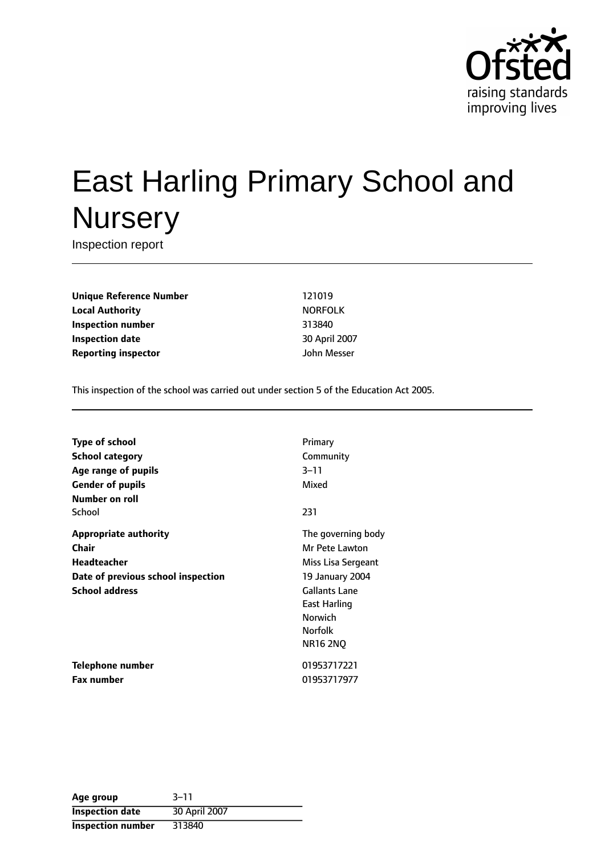

# East Harling Primary School and **Nursery**

Inspection report

**Unique Reference Number** 121019 **Local Authority** NORFOLK **Inspection number** 313840 **Inspection date** 30 April 2007 **Reporting inspector discription** *inspector John Messer* 

This inspection of the school was carried out under section 5 of the Education Act 2005.

| <b>Type of school</b>              | Primary              |
|------------------------------------|----------------------|
| School category                    | Community            |
| Age range of pupils                | $3 - 11$             |
| <b>Gender of pupils</b>            | Mixed                |
| Number on roll                     |                      |
| School                             | 231                  |
| <b>Appropriate authority</b>       | The governing body   |
| Chair                              | Mr Pete Lawton       |
| <b>Headteacher</b>                 | Miss Lisa Sergeant   |
| Date of previous school inspection | 19 January 2004      |
| <b>School address</b>              | <b>Gallants Lane</b> |
|                                    | East Harling         |
|                                    | <b>Norwich</b>       |
|                                    | <b>Norfolk</b>       |
|                                    | <b>NR16 2NQ</b>      |
| Telephone number                   | 01953717221          |
| <b>Fax number</b>                  | 01953717977          |

| Age group                | $3 - 11$      |
|--------------------------|---------------|
| <b>Inspection date</b>   | 30 April 2007 |
| <b>Inspection number</b> | 313840        |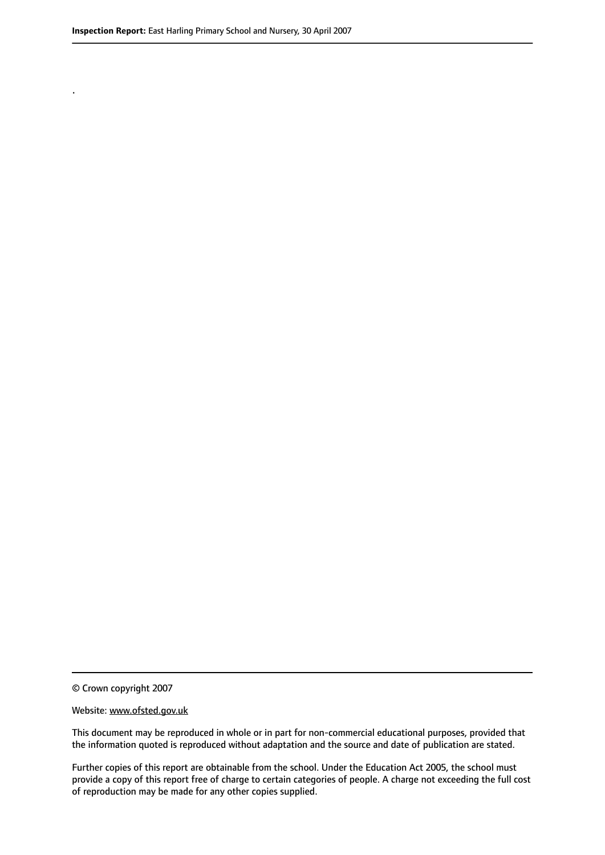.

© Crown copyright 2007

#### Website: www.ofsted.gov.uk

This document may be reproduced in whole or in part for non-commercial educational purposes, provided that the information quoted is reproduced without adaptation and the source and date of publication are stated.

Further copies of this report are obtainable from the school. Under the Education Act 2005, the school must provide a copy of this report free of charge to certain categories of people. A charge not exceeding the full cost of reproduction may be made for any other copies supplied.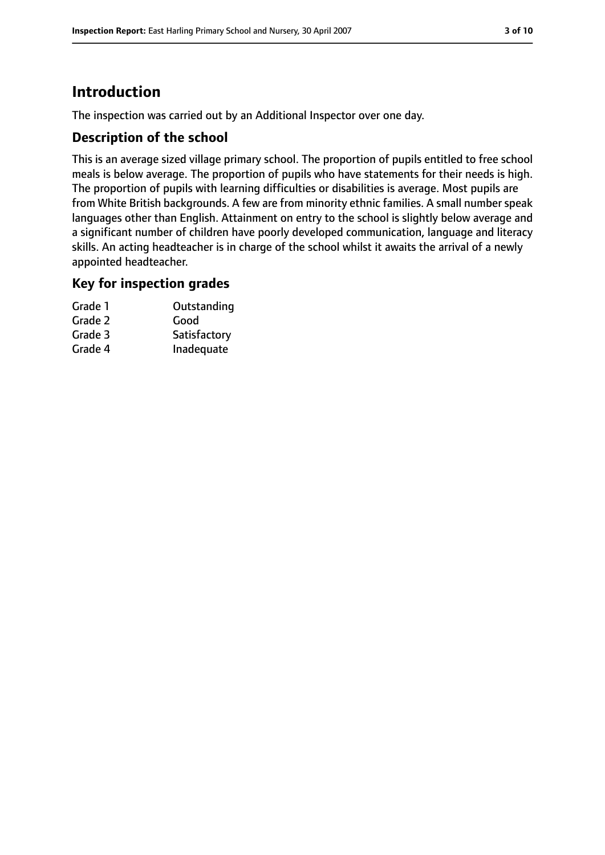# **Introduction**

The inspection was carried out by an Additional Inspector over one day.

## **Description of the school**

This is an average sized village primary school. The proportion of pupils entitled to free school meals is below average. The proportion of pupils who have statements for their needs is high. The proportion of pupils with learning difficulties or disabilities is average. Most pupils are from White British backgrounds. A few are from minority ethnic families. A small number speak languages other than English. Attainment on entry to the school is slightly below average and a significant number of children have poorly developed communication, language and literacy skills. An acting headteacher is in charge of the school whilst it awaits the arrival of a newly appointed headteacher.

### **Key for inspection grades**

| Grade 1 | Outstanding  |
|---------|--------------|
| Grade 2 | Good         |
| Grade 3 | Satisfactory |
| Grade 4 | Inadequate   |
|         |              |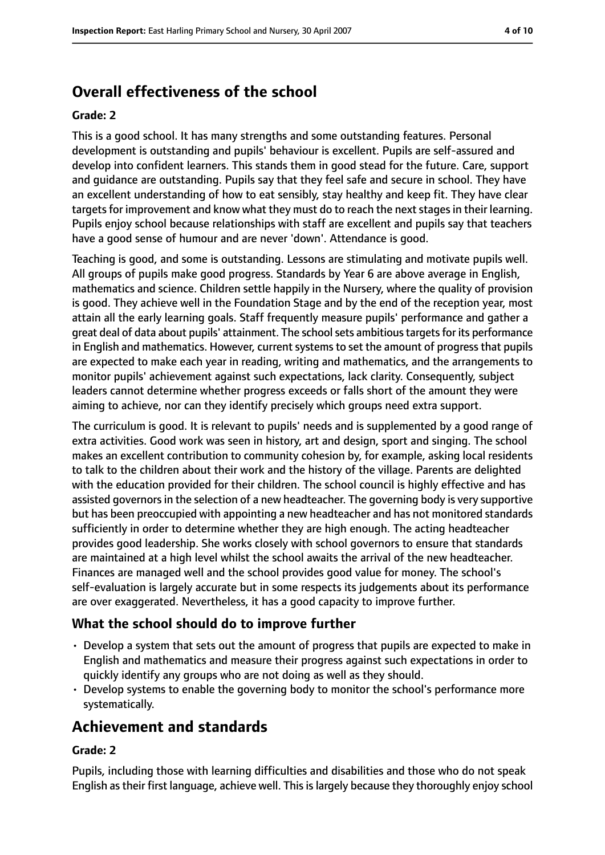# **Overall effectiveness of the school**

#### **Grade: 2**

This is a good school. It has many strengths and some outstanding features. Personal development is outstanding and pupils' behaviour is excellent. Pupils are self-assured and develop into confident learners. This stands them in good stead for the future. Care, support and guidance are outstanding. Pupils say that they feel safe and secure in school. They have an excellent understanding of how to eat sensibly, stay healthy and keep fit. They have clear targets for improvement and know what they must do to reach the next stages in their learning. Pupils enjoy school because relationships with staff are excellent and pupils say that teachers have a good sense of humour and are never 'down'. Attendance is good.

Teaching is good, and some is outstanding. Lessons are stimulating and motivate pupils well. All groups of pupils make good progress. Standards by Year 6 are above average in English, mathematics and science. Children settle happily in the Nursery, where the quality of provision is good. They achieve well in the Foundation Stage and by the end of the reception year, most attain all the early learning goals. Staff frequently measure pupils' performance and gather a great deal of data about pupils' attainment. The schoolsets ambitioustargetsfor its performance in English and mathematics. However, current systems to set the amount of progress that pupils are expected to make each year in reading, writing and mathematics, and the arrangements to monitor pupils' achievement against such expectations, lack clarity. Consequently, subject leaders cannot determine whether progress exceeds or falls short of the amount they were aiming to achieve, nor can they identify precisely which groups need extra support.

The curriculum is good. It is relevant to pupils' needs and is supplemented by a good range of extra activities. Good work was seen in history, art and design, sport and singing. The school makes an excellent contribution to community cohesion by, for example, asking local residents to talk to the children about their work and the history of the village. Parents are delighted with the education provided for their children. The school council is highly effective and has assisted governors in the selection of a new headteacher. The governing body is very supportive but has been preoccupied with appointing a new headteacher and has not monitored standards sufficiently in order to determine whether they are high enough. The acting headteacher provides good leadership. She works closely with school governors to ensure that standards are maintained at a high level whilst the school awaits the arrival of the new headteacher. Finances are managed well and the school provides good value for money. The school's self-evaluation is largely accurate but in some respects its judgements about its performance are over exaggerated. Nevertheless, it has a good capacity to improve further.

## **What the school should do to improve further**

- Develop a system that sets out the amount of progress that pupils are expected to make in English and mathematics and measure their progress against such expectations in order to quickly identify any groups who are not doing as well as they should.
- Develop systems to enable the governing body to monitor the school's performance more systematically.

# **Achievement and standards**

### **Grade: 2**

Pupils, including those with learning difficulties and disabilities and those who do not speak English as their first language, achieve well. This is largely because they thoroughly enjoy school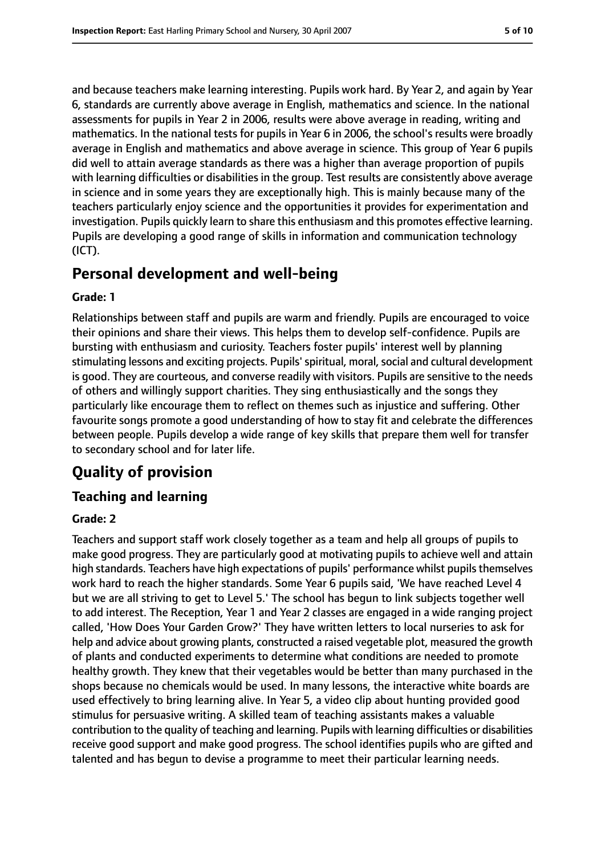and because teachers make learning interesting. Pupils work hard. By Year 2, and again by Year 6, standards are currently above average in English, mathematics and science. In the national assessments for pupils in Year 2 in 2006, results were above average in reading, writing and mathematics. In the national tests for pupils in Year 6 in 2006, the school's results were broadly average in English and mathematics and above average in science. This group of Year 6 pupils did well to attain average standards as there was a higher than average proportion of pupils with learning difficulties or disabilities in the group. Test results are consistently above average in science and in some years they are exceptionally high. This is mainly because many of the teachers particularly enjoy science and the opportunities it provides for experimentation and investigation. Pupils quickly learn to share this enthusiasm and this promotes effective learning. Pupils are developing a good range of skills in information and communication technology (ICT).

# **Personal development and well-being**

#### **Grade: 1**

Relationships between staff and pupils are warm and friendly. Pupils are encouraged to voice their opinions and share their views. This helps them to develop self-confidence. Pupils are bursting with enthusiasm and curiosity. Teachers foster pupils' interest well by planning stimulating lessons and exciting projects. Pupils' spiritual, moral, social and cultural development is good. They are courteous, and converse readily with visitors. Pupils are sensitive to the needs of others and willingly support charities. They sing enthusiastically and the songs they particularly like encourage them to reflect on themes such as injustice and suffering. Other favourite songs promote a good understanding of how to stay fit and celebrate the differences between people. Pupils develop a wide range of key skills that prepare them well for transfer to secondary school and for later life.

# **Quality of provision**

## **Teaching and learning**

#### **Grade: 2**

Teachers and support staff work closely together as a team and help all groups of pupils to make good progress. They are particularly good at motivating pupils to achieve well and attain high standards. Teachers have high expectations of pupils' performance whilst pupilsthemselves work hard to reach the higher standards. Some Year 6 pupils said, 'We have reached Level 4 but we are all striving to get to Level 5.' The school has begun to link subjects together well to add interest. The Reception, Year 1 and Year 2 classes are engaged in a wide ranging project called, 'How Does Your Garden Grow?' They have written letters to local nurseries to ask for help and advice about growing plants, constructed a raised vegetable plot, measured the growth of plants and conducted experiments to determine what conditions are needed to promote healthy growth. They knew that their vegetables would be better than many purchased in the shops because no chemicals would be used. In many lessons, the interactive white boards are used effectively to bring learning alive. In Year 5, a video clip about hunting provided good stimulus for persuasive writing. A skilled team of teaching assistants makes a valuable contribution to the quality of teaching and learning. Pupils with learning difficulties or disabilities receive good support and make good progress. The school identifies pupils who are gifted and talented and has begun to devise a programme to meet their particular learning needs.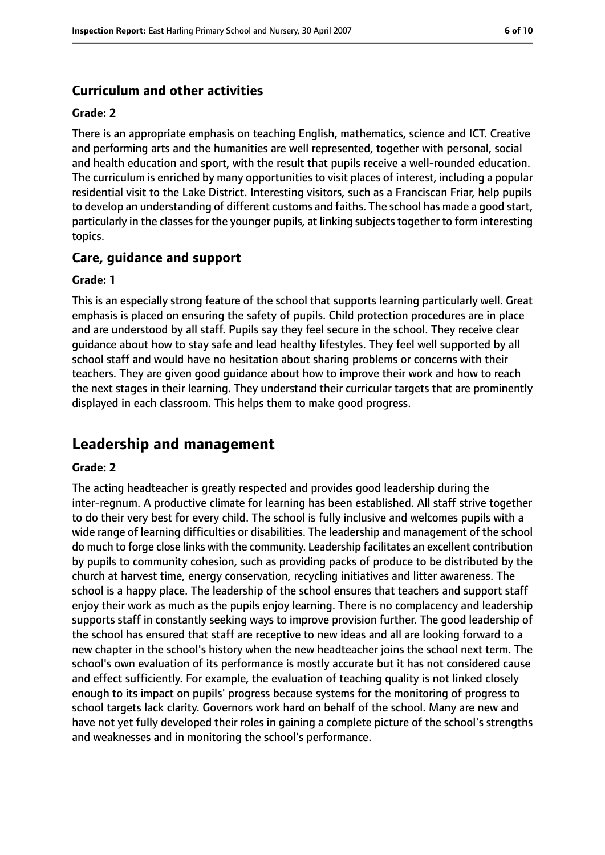## **Curriculum and other activities**

#### **Grade: 2**

There is an appropriate emphasis on teaching English, mathematics, science and ICT. Creative and performing arts and the humanities are well represented, together with personal, social and health education and sport, with the result that pupils receive a well-rounded education. The curriculum is enriched by many opportunities to visit places of interest, including a popular residential visit to the Lake District. Interesting visitors, such as a Franciscan Friar, help pupils to develop an understanding of different customs and faiths. The school has made a good start, particularly in the classes for the younger pupils, at linking subjects together to form interesting topics.

## **Care, guidance and support**

#### **Grade: 1**

This is an especially strong feature of the school that supports learning particularly well. Great emphasis is placed on ensuring the safety of pupils. Child protection procedures are in place and are understood by all staff. Pupils say they feel secure in the school. They receive clear guidance about how to stay safe and lead healthy lifestyles. They feel well supported by all school staff and would have no hesitation about sharing problems or concerns with their teachers. They are given good guidance about how to improve their work and how to reach the next stages in their learning. They understand their curricular targets that are prominently displayed in each classroom. This helps them to make good progress.

# **Leadership and management**

#### **Grade: 2**

The acting headteacher is greatly respected and provides good leadership during the inter-regnum. A productive climate for learning has been established. All staff strive together to do their very best for every child. The school is fully inclusive and welcomes pupils with a wide range of learning difficulties or disabilities. The leadership and management of the school do much to forge close links with the community. Leadership facilitates an excellent contribution by pupils to community cohesion, such as providing packs of produce to be distributed by the church at harvest time, energy conservation, recycling initiatives and litter awareness. The school is a happy place. The leadership of the school ensures that teachers and support staff enjoy their work as much as the pupils enjoy learning. There is no complacency and leadership supports staff in constantly seeking ways to improve provision further. The good leadership of the school has ensured that staff are receptive to new ideas and all are looking forward to a new chapter in the school's history when the new headteacher joins the school next term. The school's own evaluation of its performance is mostly accurate but it has not considered cause and effect sufficiently. For example, the evaluation of teaching quality is not linked closely enough to its impact on pupils' progress because systems for the monitoring of progress to school targets lack clarity. Governors work hard on behalf of the school. Many are new and have not yet fully developed their roles in gaining a complete picture of the school's strengths and weaknesses and in monitoring the school's performance.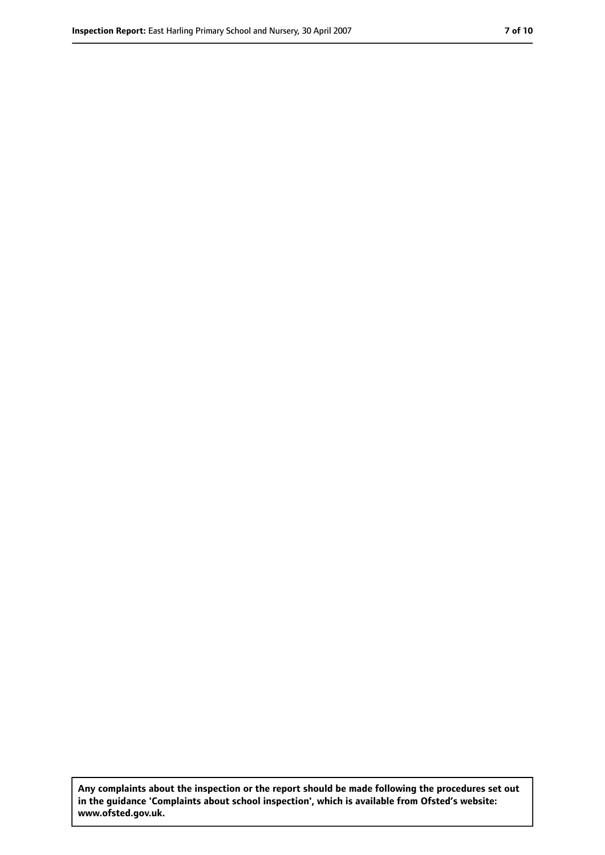**Any complaints about the inspection or the report should be made following the procedures set out in the guidance 'Complaints about school inspection', which is available from Ofsted's website: www.ofsted.gov.uk.**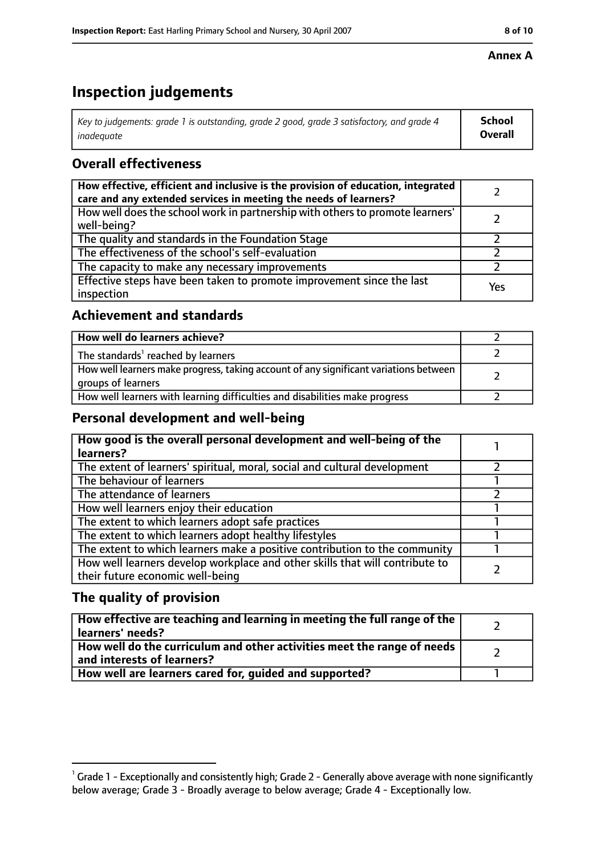#### **Annex A**

# **Inspection judgements**

| Key to judgements: grade 1 is outstanding, grade 2 good, grade 3 satisfactory, and grade 4 | <b>School</b>  |
|--------------------------------------------------------------------------------------------|----------------|
| inadequate                                                                                 | <b>Overall</b> |

# **Overall effectiveness**

| How effective, efficient and inclusive is the provision of education, integrated<br>care and any extended services in meeting the needs of learners? |     |
|------------------------------------------------------------------------------------------------------------------------------------------------------|-----|
| How well does the school work in partnership with others to promote learners'<br>well-being?                                                         |     |
| The quality and standards in the Foundation Stage                                                                                                    |     |
| The effectiveness of the school's self-evaluation                                                                                                    |     |
| The capacity to make any necessary improvements                                                                                                      |     |
| Effective steps have been taken to promote improvement since the last<br>inspection                                                                  | Yes |

## **Achievement and standards**

| How well do learners achieve?                                                                               |  |
|-------------------------------------------------------------------------------------------------------------|--|
| The standards <sup>1</sup> reached by learners                                                              |  |
| How well learners make progress, taking account of any significant variations between<br>groups of learners |  |
| How well learners with learning difficulties and disabilities make progress                                 |  |

## **Personal development and well-being**

| How good is the overall personal development and well-being of the<br>learners?                                  |  |
|------------------------------------------------------------------------------------------------------------------|--|
| The extent of learners' spiritual, moral, social and cultural development                                        |  |
| The behaviour of learners                                                                                        |  |
| The attendance of learners                                                                                       |  |
| How well learners enjoy their education                                                                          |  |
| The extent to which learners adopt safe practices                                                                |  |
| The extent to which learners adopt healthy lifestyles                                                            |  |
| The extent to which learners make a positive contribution to the community                                       |  |
| How well learners develop workplace and other skills that will contribute to<br>their future economic well-being |  |

## **The quality of provision**

| How effective are teaching and learning in meeting the full range of the<br>learners' needs?          |  |
|-------------------------------------------------------------------------------------------------------|--|
| How well do the curriculum and other activities meet the range of needs<br>and interests of learners? |  |
| How well are learners cared for, quided and supported?                                                |  |

 $^1$  Grade 1 - Exceptionally and consistently high; Grade 2 - Generally above average with none significantly below average; Grade 3 - Broadly average to below average; Grade 4 - Exceptionally low.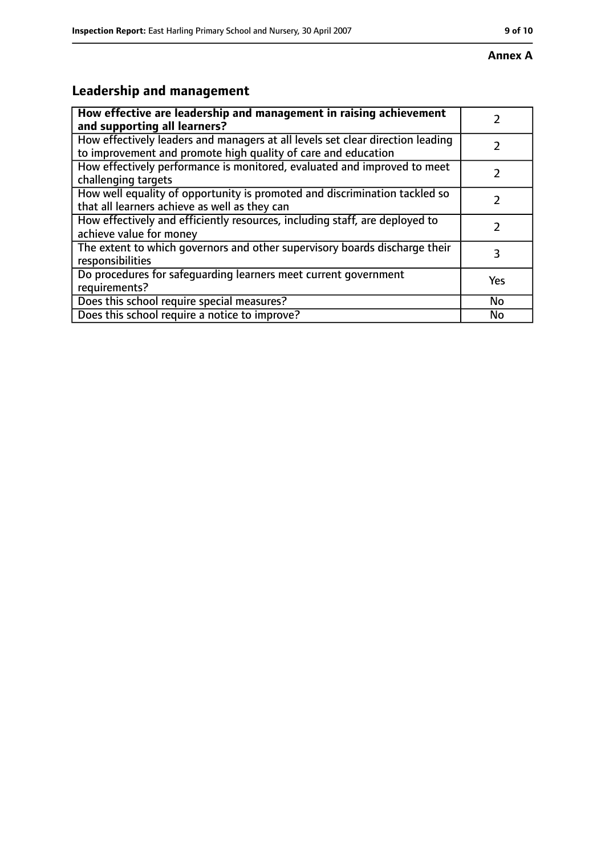#### **Annex A**

# **Leadership and management**

| How effective are leadership and management in raising achievement<br>and supporting all learners?                                              |     |
|-------------------------------------------------------------------------------------------------------------------------------------------------|-----|
| How effectively leaders and managers at all levels set clear direction leading<br>to improvement and promote high quality of care and education |     |
| How effectively performance is monitored, evaluated and improved to meet<br>challenging targets                                                 |     |
| How well equality of opportunity is promoted and discrimination tackled so<br>that all learners achieve as well as they can                     |     |
| How effectively and efficiently resources, including staff, are deployed to<br>achieve value for money                                          | 2   |
| The extent to which governors and other supervisory boards discharge their<br>responsibilities                                                  | 3   |
| Do procedures for safequarding learners meet current government<br>requirements?                                                                | Yes |
| Does this school require special measures?                                                                                                      | No  |
| Does this school require a notice to improve?                                                                                                   | No  |